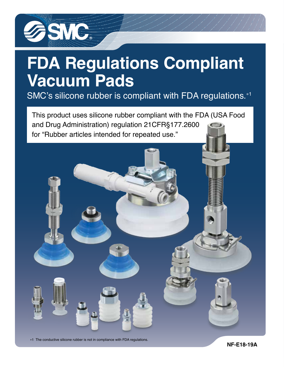

# **FDA Regulations Compliant Vacuum Pads**

SMC's silicone rubber is compliant with FDA regulations.<sup>\*1</sup>

This product uses silicone rubber compliant with the FDA (USA Food and Drug Administration) regulation 21CFR§177.2600 for "Rubber articles intended for repeated use."